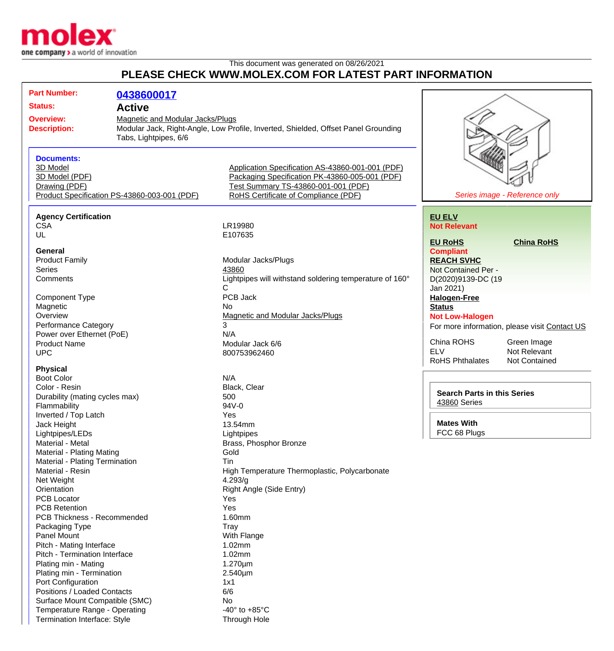

Termination Interface: Style Through Hole

## This document was generated on 08/26/2021 **PLEASE CHECK WWW.MOLEX.COM FOR LATEST PART INFORMATION**

| <b>Part Number:</b>                                                                                  | 0438600017                                   |                                                                                                                                                                                   |                                          |                                               |
|------------------------------------------------------------------------------------------------------|----------------------------------------------|-----------------------------------------------------------------------------------------------------------------------------------------------------------------------------------|------------------------------------------|-----------------------------------------------|
| <b>Status:</b>                                                                                       | <b>Active</b>                                |                                                                                                                                                                                   |                                          |                                               |
| Magnetic and Modular Jacks/Plugs<br><b>Overview:</b><br><b>Description:</b><br>Tabs, Lightpipes, 6/6 |                                              | Modular Jack, Right-Angle, Low Profile, Inverted, Shielded, Offset Panel Grounding                                                                                                |                                          |                                               |
| <b>Documents:</b><br>3D Model<br>3D Model (PDF)<br>Drawing (PDF)                                     | Product Specification PS-43860-003-001 (PDF) | Application Specification AS-43860-001-001 (PDF)<br>Packaging Specification PK-43860-005-001 (PDF)<br>Test Summary TS-43860-001-001 (PDF)<br>RoHS Certificate of Compliance (PDF) |                                          | Series image - Reference only                 |
| <b>Agency Certification</b>                                                                          |                                              |                                                                                                                                                                                   | <b>EU ELV</b>                            |                                               |
| <b>CSA</b>                                                                                           |                                              | LR19980                                                                                                                                                                           | <b>Not Relevant</b>                      |                                               |
| UL<br><b>General</b>                                                                                 |                                              | E107635                                                                                                                                                                           | <b>EU RoHS</b><br><b>Compliant</b>       | <b>China RoHS</b>                             |
| <b>Product Family</b><br>Series                                                                      |                                              | Modular Jacks/Plugs<br>43860                                                                                                                                                      | <b>REACH SVHC</b><br>Not Contained Per - |                                               |
| Comments                                                                                             |                                              | Lightpipes will withstand soldering temperature of 160°<br>C                                                                                                                      | D(2020)9139-DC (19<br>Jan 2021)          |                                               |
| Component Type                                                                                       |                                              | PCB Jack                                                                                                                                                                          | <b>Halogen-Free</b>                      |                                               |
| Magnetic                                                                                             |                                              | No                                                                                                                                                                                | <b>Status</b>                            |                                               |
| Overview                                                                                             |                                              | Magnetic and Modular Jacks/Plugs                                                                                                                                                  | <b>Not Low-Halogen</b>                   |                                               |
| <b>Performance Category</b>                                                                          |                                              | 3<br>N/A                                                                                                                                                                          |                                          | For more information, please visit Contact US |
| Power over Ethernet (PoE)<br><b>Product Name</b>                                                     |                                              | Modular Jack 6/6                                                                                                                                                                  | China ROHS                               | Green Image                                   |
| <b>UPC</b>                                                                                           |                                              | 800753962460                                                                                                                                                                      | <b>ELV</b>                               | Not Relevant                                  |
|                                                                                                      |                                              |                                                                                                                                                                                   | <b>RoHS Phthalates</b>                   | <b>Not Contained</b>                          |
| <b>Physical</b>                                                                                      |                                              |                                                                                                                                                                                   |                                          |                                               |
| <b>Boot Color</b>                                                                                    |                                              | N/A                                                                                                                                                                               |                                          |                                               |
| Color - Resin                                                                                        |                                              | Black, Clear                                                                                                                                                                      | <b>Search Parts in this Series</b>       |                                               |
| Durability (mating cycles max)                                                                       |                                              | 500<br>94V-0                                                                                                                                                                      | 43860 Series                             |                                               |
| Flammability<br>Inverted / Top Latch                                                                 |                                              | Yes                                                                                                                                                                               |                                          |                                               |
| Jack Height                                                                                          |                                              | 13.54mm                                                                                                                                                                           | <b>Mates With</b>                        |                                               |
| Lightpipes/LEDs                                                                                      |                                              | Lightpipes                                                                                                                                                                        | FCC 68 Plugs                             |                                               |
| Material - Metal                                                                                     |                                              | Brass, Phosphor Bronze                                                                                                                                                            |                                          |                                               |
| Material - Plating Mating                                                                            |                                              | Gold                                                                                                                                                                              |                                          |                                               |
| Material - Plating Termination                                                                       |                                              | Tin                                                                                                                                                                               |                                          |                                               |
| Material - Resin                                                                                     |                                              | High Temperature Thermoplastic, Polycarbonate                                                                                                                                     |                                          |                                               |
| Net Weight                                                                                           |                                              | 4.293/g                                                                                                                                                                           |                                          |                                               |
| Orientation                                                                                          |                                              | Right Angle (Side Entry)                                                                                                                                                          |                                          |                                               |
| <b>PCB Locator</b><br><b>PCB Retention</b>                                                           |                                              | Yes                                                                                                                                                                               |                                          |                                               |
| PCB Thickness - Recommended                                                                          |                                              | Yes<br>1.60mm                                                                                                                                                                     |                                          |                                               |
| Packaging Type                                                                                       |                                              | <b>Tray</b>                                                                                                                                                                       |                                          |                                               |
| Panel Mount                                                                                          |                                              | With Flange                                                                                                                                                                       |                                          |                                               |
| Pitch - Mating Interface                                                                             |                                              | 1.02mm                                                                                                                                                                            |                                          |                                               |
| Pitch - Termination Interface                                                                        |                                              | 1.02mm                                                                                                                                                                            |                                          |                                               |
| Plating min - Mating                                                                                 |                                              | $1.270 \mu m$                                                                                                                                                                     |                                          |                                               |
| Plating min - Termination                                                                            |                                              | 2.540µm                                                                                                                                                                           |                                          |                                               |
| Port Configuration                                                                                   |                                              | 1x1                                                                                                                                                                               |                                          |                                               |
| Positions / Loaded Contacts                                                                          |                                              | 6/6                                                                                                                                                                               |                                          |                                               |
| Surface Mount Compatible (SMC)<br>Temperature Range - Operating                                      |                                              | No<br>-40 $\degree$ to +85 $\degree$ C                                                                                                                                            |                                          |                                               |
|                                                                                                      |                                              |                                                                                                                                                                                   |                                          |                                               |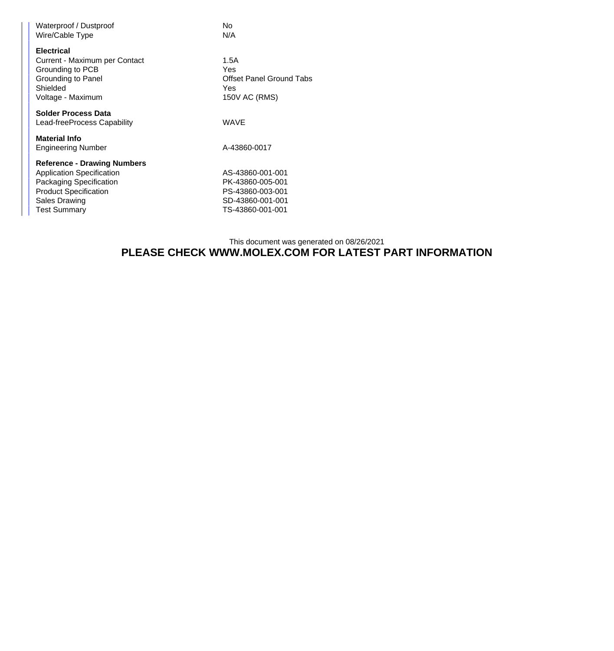| Waterproof / Dustproof<br>Wire/Cable Type                                                                                                                                 | No<br>N/A                                                                                        |
|---------------------------------------------------------------------------------------------------------------------------------------------------------------------------|--------------------------------------------------------------------------------------------------|
| <b>Electrical</b><br>Current - Maximum per Contact<br>Grounding to PCB<br>Grounding to Panel<br>Shielded<br>Voltage - Maximum                                             | 1.5A<br>Yes<br><b>Offset Panel Ground Tabs</b><br>Yes<br>150V AC (RMS)                           |
| <b>Solder Process Data</b><br>Lead-freeProcess Capability                                                                                                                 | <b>WAVE</b>                                                                                      |
| <b>Material Info</b><br><b>Engineering Number</b>                                                                                                                         | A-43860-0017                                                                                     |
| <b>Reference - Drawing Numbers</b><br><b>Application Specification</b><br>Packaging Specification<br><b>Product Specification</b><br>Sales Drawing<br><b>Test Summary</b> | AS-43860-001-001<br>PK-43860-005-001<br>PS-43860-003-001<br>SD-43860-001-001<br>TS-43860-001-001 |

## This document was generated on 08/26/2021 **PLEASE CHECK WWW.MOLEX.COM FOR LATEST PART INFORMATION**